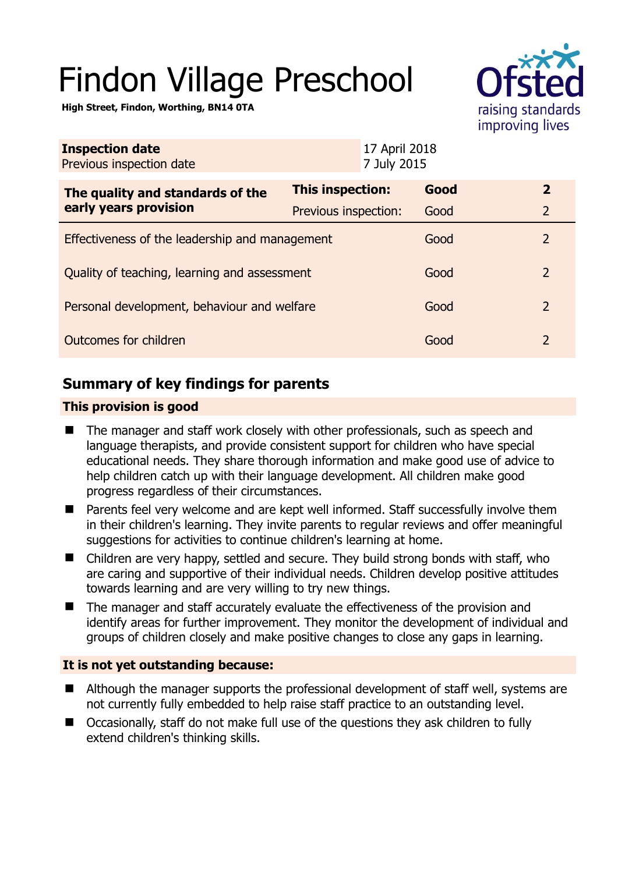# Findon Village Preschool



**High Street, Findon, Worthing, BN14 0TA** 

| <b>Inspection date</b><br>Previous inspection date        |                      | 17 April 2018<br>7 July 2015 |                |
|-----------------------------------------------------------|----------------------|------------------------------|----------------|
| The quality and standards of the<br>early years provision | This inspection:     | Good                         | $\mathbf{2}$   |
|                                                           | Previous inspection: | Good                         | $\overline{2}$ |
| Effectiveness of the leadership and management            |                      | Good                         | $\overline{2}$ |
| Quality of teaching, learning and assessment              |                      | Good                         | $\overline{2}$ |
| Personal development, behaviour and welfare               |                      | Good                         | $\overline{2}$ |
| Outcomes for children                                     |                      | Good                         | $\overline{2}$ |

# **Summary of key findings for parents**

## **This provision is good**

- The manager and staff work closely with other professionals, such as speech and language therapists, and provide consistent support for children who have special educational needs. They share thorough information and make good use of advice to help children catch up with their language development. All children make good progress regardless of their circumstances.
- Parents feel very welcome and are kept well informed. Staff successfully involve them in their children's learning. They invite parents to regular reviews and offer meaningful suggestions for activities to continue children's learning at home.
- Children are very happy, settled and secure. They build strong bonds with staff, who are caring and supportive of their individual needs. Children develop positive attitudes towards learning and are very willing to try new things.
- The manager and staff accurately evaluate the effectiveness of the provision and identify areas for further improvement. They monitor the development of individual and groups of children closely and make positive changes to close any gaps in learning.

## **It is not yet outstanding because:**

- Although the manager supports the professional development of staff well, systems are not currently fully embedded to help raise staff practice to an outstanding level.
- Occasionally, staff do not make full use of the questions they ask children to fully extend children's thinking skills.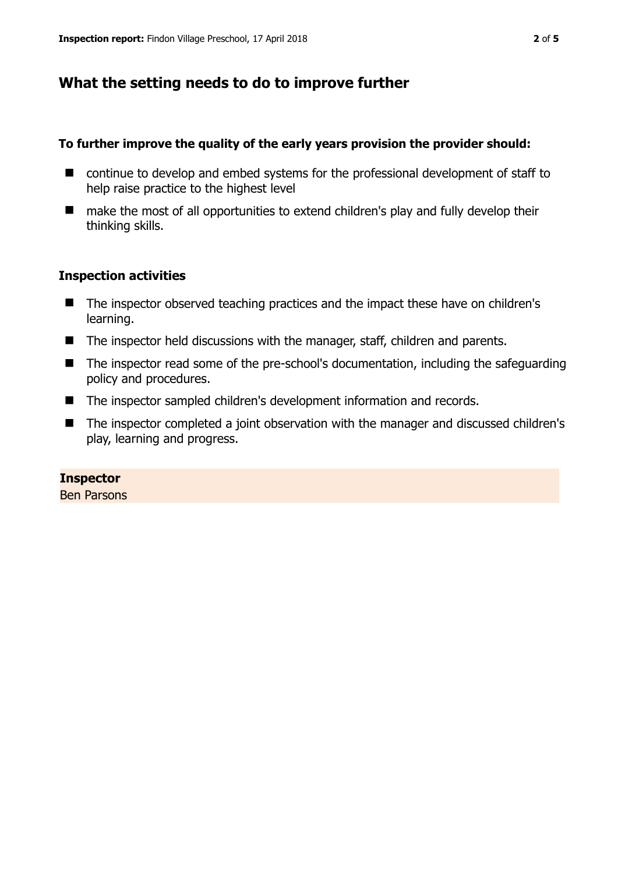# **What the setting needs to do to improve further**

#### **To further improve the quality of the early years provision the provider should:**

- continue to develop and embed systems for the professional development of staff to help raise practice to the highest level
- make the most of all opportunities to extend children's play and fully develop their thinking skills.

#### **Inspection activities**

- The inspector observed teaching practices and the impact these have on children's learning.
- The inspector held discussions with the manager, staff, children and parents.
- The inspector read some of the pre-school's documentation, including the safeguarding policy and procedures.
- The inspector sampled children's development information and records.
- The inspector completed a joint observation with the manager and discussed children's play, learning and progress.

#### **Inspector**

Ben Parsons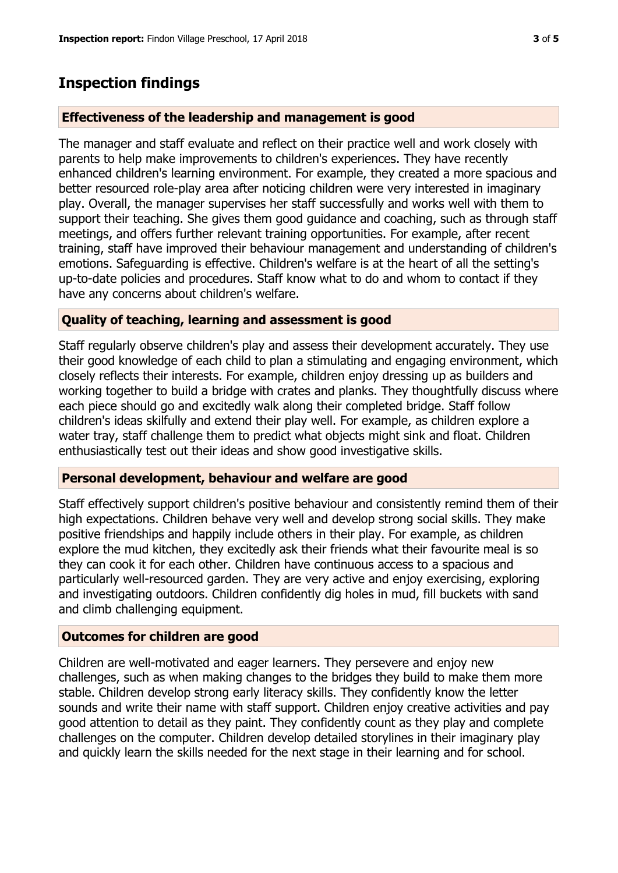# **Inspection findings**

## **Effectiveness of the leadership and management is good**

The manager and staff evaluate and reflect on their practice well and work closely with parents to help make improvements to children's experiences. They have recently enhanced children's learning environment. For example, they created a more spacious and better resourced role-play area after noticing children were very interested in imaginary play. Overall, the manager supervises her staff successfully and works well with them to support their teaching. She gives them good guidance and coaching, such as through staff meetings, and offers further relevant training opportunities. For example, after recent training, staff have improved their behaviour management and understanding of children's emotions. Safeguarding is effective. Children's welfare is at the heart of all the setting's up-to-date policies and procedures. Staff know what to do and whom to contact if they have any concerns about children's welfare.

## **Quality of teaching, learning and assessment is good**

Staff regularly observe children's play and assess their development accurately. They use their good knowledge of each child to plan a stimulating and engaging environment, which closely reflects their interests. For example, children enjoy dressing up as builders and working together to build a bridge with crates and planks. They thoughtfully discuss where each piece should go and excitedly walk along their completed bridge. Staff follow children's ideas skilfully and extend their play well. For example, as children explore a water tray, staff challenge them to predict what objects might sink and float. Children enthusiastically test out their ideas and show good investigative skills.

#### **Personal development, behaviour and welfare are good**

Staff effectively support children's positive behaviour and consistently remind them of their high expectations. Children behave very well and develop strong social skills. They make positive friendships and happily include others in their play. For example, as children explore the mud kitchen, they excitedly ask their friends what their favourite meal is so they can cook it for each other. Children have continuous access to a spacious and particularly well-resourced garden. They are very active and enjoy exercising, exploring and investigating outdoors. Children confidently dig holes in mud, fill buckets with sand and climb challenging equipment.

#### **Outcomes for children are good**

Children are well-motivated and eager learners. They persevere and enjoy new challenges, such as when making changes to the bridges they build to make them more stable. Children develop strong early literacy skills. They confidently know the letter sounds and write their name with staff support. Children enjoy creative activities and pay good attention to detail as they paint. They confidently count as they play and complete challenges on the computer. Children develop detailed storylines in their imaginary play and quickly learn the skills needed for the next stage in their learning and for school.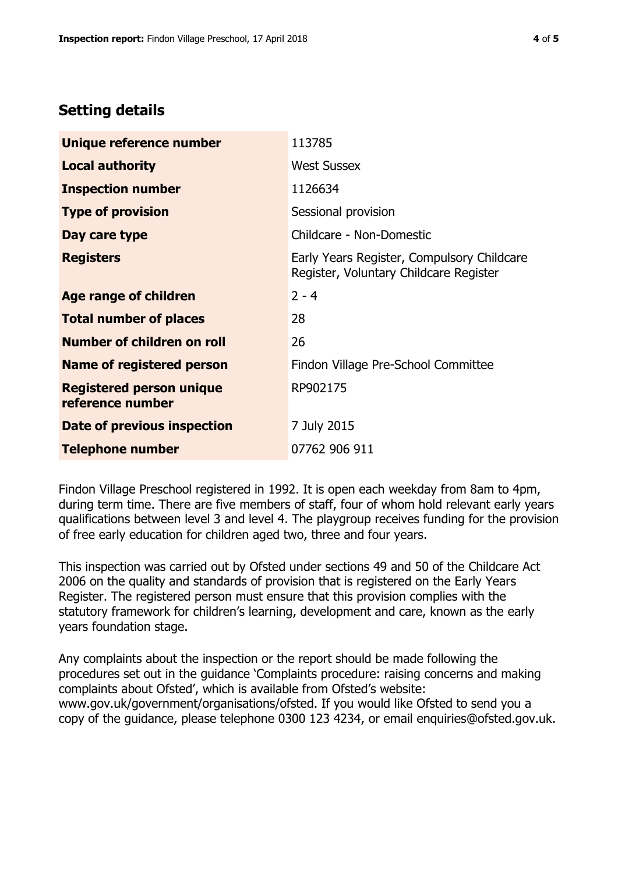## **Setting details**

| Unique reference number                             | 113785                                                                               |  |
|-----------------------------------------------------|--------------------------------------------------------------------------------------|--|
| <b>Local authority</b>                              | <b>West Sussex</b>                                                                   |  |
| <b>Inspection number</b>                            | 1126634                                                                              |  |
| <b>Type of provision</b>                            | Sessional provision                                                                  |  |
| Day care type                                       | Childcare - Non-Domestic                                                             |  |
| <b>Registers</b>                                    | Early Years Register, Compulsory Childcare<br>Register, Voluntary Childcare Register |  |
| Age range of children                               | $2 - 4$                                                                              |  |
| <b>Total number of places</b>                       | 28                                                                                   |  |
| Number of children on roll                          | 26                                                                                   |  |
| Name of registered person                           | Findon Village Pre-School Committee                                                  |  |
| <b>Registered person unique</b><br>reference number | RP902175                                                                             |  |
| Date of previous inspection                         | 7 July 2015                                                                          |  |
| <b>Telephone number</b>                             | 07762 906 911                                                                        |  |

Findon Village Preschool registered in 1992. It is open each weekday from 8am to 4pm, during term time. There are five members of staff, four of whom hold relevant early years qualifications between level 3 and level 4. The playgroup receives funding for the provision of free early education for children aged two, three and four years.

This inspection was carried out by Ofsted under sections 49 and 50 of the Childcare Act 2006 on the quality and standards of provision that is registered on the Early Years Register. The registered person must ensure that this provision complies with the statutory framework for children's learning, development and care, known as the early years foundation stage.

Any complaints about the inspection or the report should be made following the procedures set out in the guidance 'Complaints procedure: raising concerns and making complaints about Ofsted', which is available from Ofsted's website: www.gov.uk/government/organisations/ofsted. If you would like Ofsted to send you a copy of the guidance, please telephone 0300 123 4234, or email enquiries@ofsted.gov.uk.